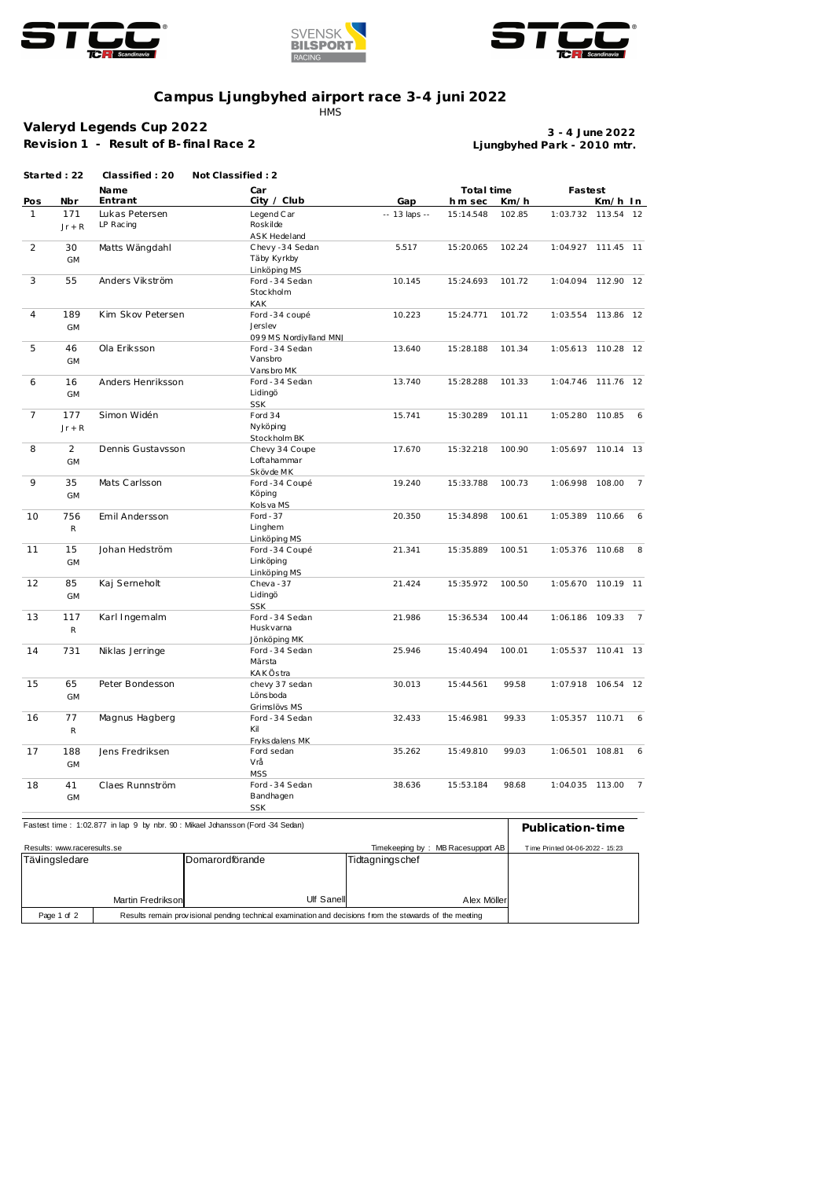





## **Campus Ljungbyhed airport race 3-4 juni 2022**

**HMS** 

## **Valeryd Legends Cup 2022**

**Revision 1 - Result of B- final Race 2**

**Ljungbyhed Park - 2010 mtr. 3 - 4 June 2022**

|                |                 | Name                        | Car                           |               | Total time |        | Fastest            |           |                |
|----------------|-----------------|-----------------------------|-------------------------------|---------------|------------|--------|--------------------|-----------|----------------|
| Pos            | Nbr             | Entrant                     | City / Club                   | Gap           | h m sec    | Km/h   |                    | Km/h In   |                |
| $\mathbf{1}$   | 171<br>$Jr + R$ | Lukas Petersen<br>LP Racing | Legend Car<br>Roskilde        | -- 13 laps -- | 15:14.548  | 102.85 | 1:03.732           | 113.54 12 |                |
|                |                 |                             | <b>ASK Hedeland</b>           |               |            |        |                    |           |                |
| 2              | 30              | Matts Wängdahl              | Chevy-34 Sedan                | 5.517         | 15:20.065  | 102.24 | 1:04.927 111.45 11 |           |                |
|                | GM              |                             | Täby Kyrkby                   |               |            |        |                    |           |                |
|                |                 |                             | Linköping MS                  |               |            |        |                    |           |                |
| 3              | 55              | Anders Vikström             | Ford - 34 Sedan               | 10.145        | 15:24.693  | 101.72 | 1:04.094 112.90 12 |           |                |
|                |                 |                             | Stockholm                     |               |            |        |                    |           |                |
| 4              | 189             | Kim Skov Petersen           | <b>KAK</b><br>Ford -34 coupé  | 10.223        | 15:24.771  | 101.72 | 1:03.554 113.86 12 |           |                |
|                | <b>GM</b>       |                             | Jerslev                       |               |            |        |                    |           |                |
|                |                 |                             | 099 MS Nordjylland MNJ        |               |            |        |                    |           |                |
| 5              | 46              | Ola Eriksson                | Ford - 34 Sedan               | 13.640        | 15:28.188  | 101.34 | 1:05.613 110.28 12 |           |                |
|                | <b>GM</b>       |                             | Vansbro                       |               |            |        |                    |           |                |
|                |                 |                             | Vansbro MK                    |               |            |        |                    |           |                |
| 6              | 16              | Anders Henriksson           | Ford - 34 Sedan               | 13.740        | 15:28.288  | 101.33 | 1:04.746           | 111.76 12 |                |
|                | GM              |                             | Lidingö                       |               |            |        |                    |           |                |
|                |                 |                             | <b>SSK</b>                    |               |            |        |                    |           |                |
| $\overline{7}$ | 177             | Simon Widén                 | Ford 34                       | 15.741        | 15:30.289  | 101.11 | 1:05.280 110.85    |           | 6              |
|                | $Jr + R$        |                             | Nyköping                      |               |            |        |                    |           |                |
|                |                 |                             | Stockholm BK                  |               |            | 100.90 | 1:05.697 110.14 13 |           |                |
| 8              | $\overline{2}$  | Dennis Gustavsson           | Chevy 34 Coupe<br>Loftahammar | 17.670        | 15:32.218  |        |                    |           |                |
|                | <b>GM</b>       |                             | Skövde MK                     |               |            |        |                    |           |                |
| 9              | 35              | Mats Carlsson               | Ford -34 Coupé                | 19.240        | 15:33.788  | 100.73 | 1:06.998 108.00    |           | $\overline{7}$ |
|                | <b>GM</b>       |                             | Köping                        |               |            |        |                    |           |                |
|                |                 |                             | Kols va MS                    |               |            |        |                    |           |                |
| 10             | 756             | Emil Andersson              | Ford $-37$                    | 20.350        | 15:34.898  | 100.61 | 1:05.389 110.66    |           | 6              |
|                | ${\sf R}$       |                             | Linghem                       |               |            |        |                    |           |                |
|                |                 |                             | Linköping MS                  |               |            |        |                    |           |                |
| 11             | 15              | Johan Hedström              | Ford -34 Coupé                | 21.341        | 15:35.889  | 100.51 | 1:05.376 110.68    |           | 8              |
|                | GM              |                             | Linköping                     |               |            |        |                    |           |                |
|                |                 |                             | Linköping MS                  |               |            |        |                    |           |                |
| 12             | 85              | Kaj Serneholt               | Cheva-37                      | 21.424        | 15:35.972  | 100.50 | 1:05.670           | 110.19 11 |                |
|                | <b>GM</b>       |                             | Lidingö<br><b>SSK</b>         |               |            |        |                    |           |                |
| 13             | 117             | Karl Ingemalm               | Ford - 34 Sedan               | 21.986        | 15:36.534  | 100.44 | 1:06.186 109.33    |           | $\overline{7}$ |
|                | ${\sf R}$       |                             | Huskvarna                     |               |            |        |                    |           |                |
|                |                 |                             | Jönköping MK                  |               |            |        |                    |           |                |
| 14             | 731             | Niklas Jerringe             | Ford - 34 Sedan               | 25.946        | 15:40.494  | 100.01 | 1:05.537 110.41 13 |           |                |
|                |                 |                             | Märsta                        |               |            |        |                    |           |                |
|                |                 |                             | KAKÖstra                      |               |            |        |                    |           |                |
| 15             | 65              | Peter Bondesson             | chevy 37 sedan                | 30.013        | 15:44.561  | 99.58  | 1:07.918 106.54 12 |           |                |
|                | <b>GM</b>       |                             | Lönsboda                      |               |            |        |                    |           |                |
|                |                 |                             | Grimslövs MS                  |               |            |        |                    |           |                |
| 16             | 77              | Magnus Hagberg              | Ford - 34 Sedan               | 32.433        | 15:46.981  | 99.33  | 1:05.357 110.71    |           | 6              |
|                | R               |                             | Kil                           |               |            |        |                    |           |                |
|                |                 |                             | Fryks dalens MK               |               |            |        |                    |           |                |
| 17             | 188             | Jens Fredriksen             | Ford sedan<br>Vrå             | 35.262        | 15:49.810  | 99.03  | 1:06.501           | 108.81    | 6              |
|                | <b>GM</b>       |                             | <b>MSS</b>                    |               |            |        |                    |           |                |
| 18             | 41              | Claes Runnström             | Ford - 34 Sedan               | 38.636        | 15:53.184  | 98.68  | 1:04.035 113.00    |           | 7              |
|                | <b>GM</b>       |                             | Bandhagen                     |               |            |        |                    |           |                |
|                |                 |                             | <b>SSK</b>                    |               |            |        |                    |           |                |

| Results: www.raceresults.se                                                                                            |                   |                         |                 | Timekeeping by: MB Racesupport AB | Time Printed 04-06-2022 - 15:23 |
|------------------------------------------------------------------------------------------------------------------------|-------------------|-------------------------|-----------------|-----------------------------------|---------------------------------|
| Tävlingsledare                                                                                                         |                   | <b>IDomarordförande</b> | Tidtagningschef |                                   |                                 |
|                                                                                                                        |                   |                         |                 |                                   |                                 |
|                                                                                                                        |                   |                         |                 |                                   |                                 |
|                                                                                                                        |                   |                         |                 |                                   |                                 |
|                                                                                                                        | Martin Fredrikson | Ulf Sanell              |                 | Alex Möller                       |                                 |
| Results remain provisional pending technical examination and decisions from the stewards of the meeting<br>Page 1 of 2 |                   |                         |                 |                                   |                                 |
|                                                                                                                        |                   |                         |                 |                                   |                                 |